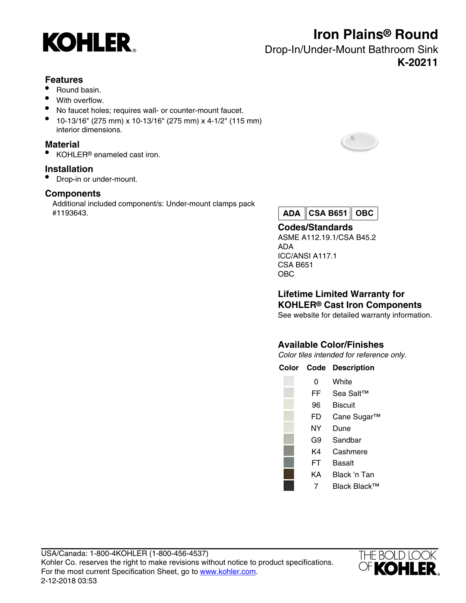

## **Iron Plains® Round**

Drop-In/Under-Mount Bathroom Sink **K-20211**

## **Features**

- Round basin.
- With overflow.
- No faucet holes; requires wall- or counter-mount faucet.
- 10-13/16" (275 mm) x 10-13/16" (275 mm) x 4-1/2" (115 mm) interior dimensions.

### **Material**

• KOHLER® enameled cast iron.

## **Installation**

• Drop-in or under-mount.

## **Components**

Additional included component/s: Under-mount clamps pack #1193643.





**Codes/Standards** ASME A112.19.1/CSA B45.2 ADA ICC/ANSI A117.1 CSA B651 OBC

**Lifetime Limited Warranty for KOHLER® Cast Iron Components**

See website for detailed warranty information.

## **Available Color/Finishes**

Color tiles intended for reference only.

| Color Code | <b>Description</b> |
|------------|--------------------|
| 0          | White              |
| FF         | Sea Salt™          |
| 96         | <b>Biscuit</b>     |
| FD         | Cane Sugar™        |
| NΥ         | Dune               |
| G9         | Sandbar            |
| K4         | Cashmere           |
| FT         | Basalt             |
| KΑ         | Black 'n Tan       |
|            |                    |

7 Black Black™